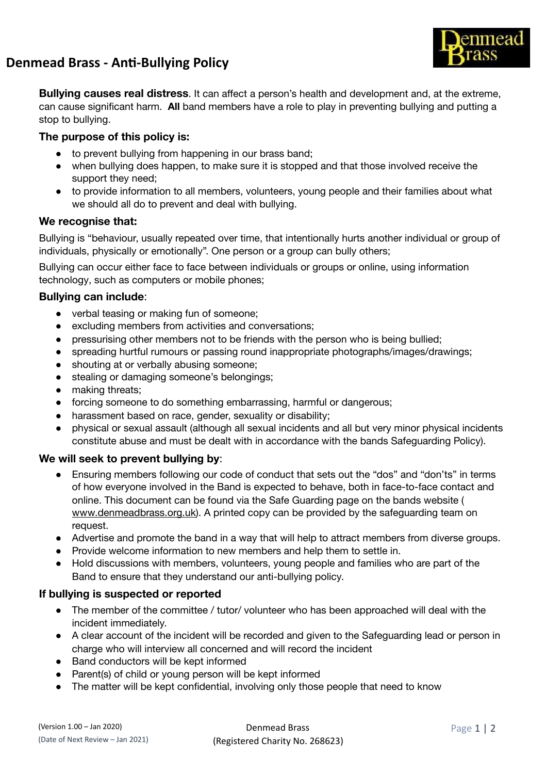

mead

**Bullying causes real distress** . It can affect a person's health and development and, at the extreme, can cause significant harm. **All** band members have a role to play in preventing bullying and putting a stop to bullying.

## **The purpose of this policy is:**

- to prevent bullying from happening in our brass band;
- when bullying does happen, to make sure it is stopped and that those involved receive the support they need;
- to provide information to all members, volunteers, young people and their families about what we should all do to prevent and deal with bullying.

### **We recognise that:**

Bullying is "behaviour, usually repeated over time, that intentionally hurts another individual or group of individuals, physically or emotionally". One person or a group can bully others;

Bullying can occur either face to face between individuals or groups or online, using information technology, such as computers or mobile phones;

# **Bullying can include** :

- verbal teasing or making fun of someone;
- excluding members from activities and conversations;
- pressurising other members not to be friends with the person who is being bullied;
- spreading hurtful rumours or passing round inappropriate photographs/images/drawings;
- shouting at or verbally abusing someone;
- stealing or damaging someone's belongings;
- making threats;
- forcing someone to do something embarrassing, harmful or dangerous;
- harassment based on race, gender, sexuality or disability;
- physical or sexual assault (although all sexual incidents and all but very minor physical incidents constitute abuse and must be dealt with in accordance with the bands Safeguarding Policy).

### We will seek to prevent bullying by:

- Ensuring members following our code of conduct that sets out the "dos" and "don'ts" in terms of how everyone involved in the Band is expected to behave, both in face-to-face contact and online. This document can be found via the Safe Guarding page on the bands website ( [www.denmeadbrass.org.uk\)](http://www.denmeadbrass.org.uk/). A printed copy can be provided by the safeguarding team on request.
- Advertise and promote the band in a way that will help to attract members from diverse groups.
- Provide welcome information to new members and help them to settle in.
- Hold discussions with members, volunteers, young people and families who are part of the Band to ensure that they understand our anti-bullying policy.

### **If bullying is suspected or reported**

- The member of the committee / tutor/ volunteer who has been approached will deal with the incident immediately.
- A clear account of the incident will be recorded and given to the Safeguarding lead or person in charge who will interview all concerned and will record the incident
- Band conductors will be kept informed
- Parent(s) of child or young person will be kept informed
- The matter will be kept confidential, involving only those people that need to know